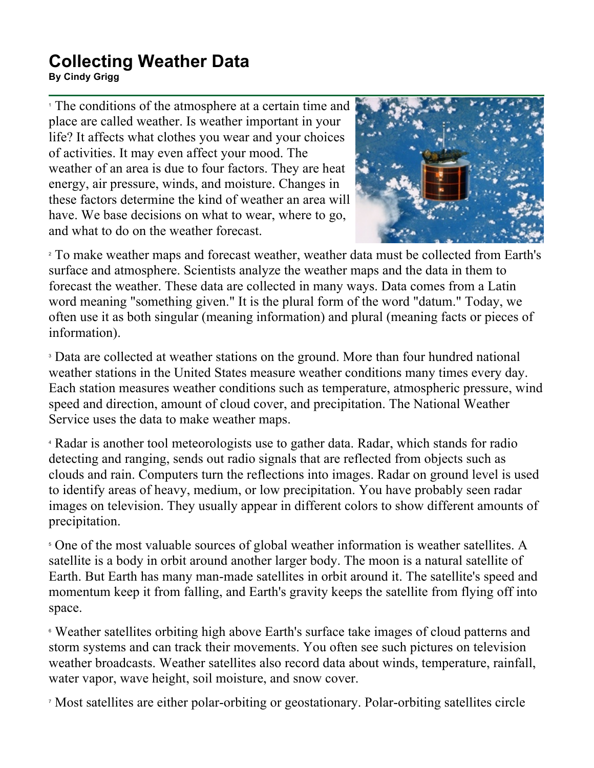## **Collecting Weather Data**

**By Cindy Grigg**

<sup>1</sup> The conditions of the atmosphere at a certain time and place are called weather. Is weather important in your life? It affects what clothes you wear and your choices of activities. It may even affect your mood. The weather of an area is due to four factors. They are heat energy, air pressure, winds, and moisture. Changes in these factors determine the kind of weather an area will have. We base decisions on what to wear, where to go, and what to do on the weather forecast.



<sup>2</sup> To make weather maps and forecast weather, weather data must be collected from Earth's surface and atmosphere. Scientists analyze the weather maps and the data in them to forecast the weather. These data are collected in many ways. Data comes from a Latin word meaning "something given." It is the plural form of the word "datum." Today, we often use it as both singular (meaning information) and plural (meaning facts or pieces of information).

<sup>3</sup> Data are collected at weather stations on the ground. More than four hundred national weather stations in the United States measure weather conditions many times every day. Each station measures weather conditions such as temperature, atmospheric pressure, wind speed and direction, amount of cloud cover, and precipitation. The National Weather Service uses the data to make weather maps.

<sup>4</sup> Radar is another tool meteorologists use to gather data. Radar, which stands for radio detecting and ranging, sends out radio signals that are reflected from objects such as clouds and rain. Computers turn the reflections into images. Radar on ground level is used to identify areas of heavy, medium, or low precipitation. You have probably seen radar images on television. They usually appear in different colors to show different amounts of precipitation.

<sup>5</sup> One of the most valuable sources of global weather information is weather satellites. A satellite is a body in orbit around another larger body. The moon is a natural satellite of Earth. But Earth has many man-made satellites in orbit around it. The satellite's speed and momentum keep it from falling, and Earth's gravity keeps the satellite from flying off into space.

<sup>6</sup> Weather satellites orbiting high above Earth's surface take images of cloud patterns and storm systems and can track their movements. You often see such pictures on television weather broadcasts. Weather satellites also record data about winds, temperature, rainfall, water vapor, wave height, soil moisture, and snow cover.

<sup>7</sup> Most satellites are either polar-orbiting or geostationary. Polar-orbiting satellites circle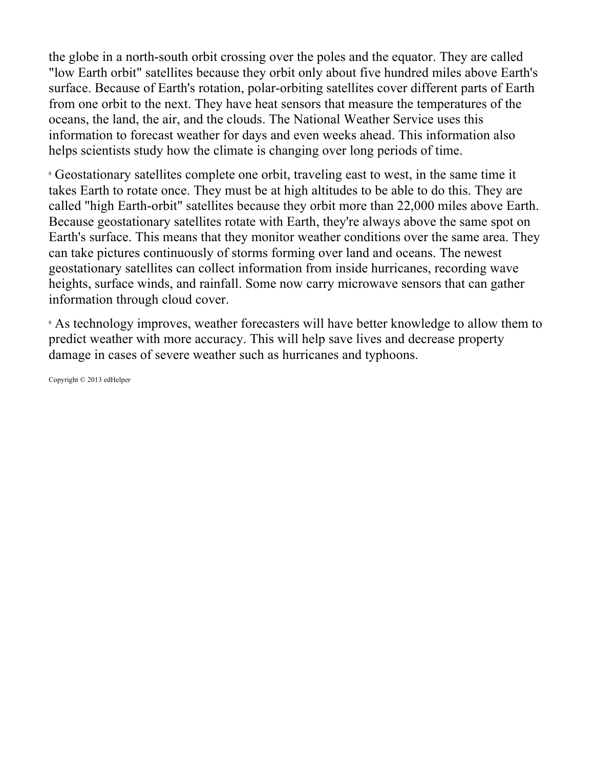the globe in a north-south orbit crossing over the poles and the equator. They are called "low Earth orbit" satellites because they orbit only about five hundred miles above Earth's surface. Because of Earth's rotation, polar-orbiting satellites cover different parts of Earth from one orbit to the next. They have heat sensors that measure the temperatures of the oceans, the land, the air, and the clouds. The National Weather Service uses this information to forecast weather for days and even weeks ahead. This information also helps scientists study how the climate is changing over long periods of time.

<sup>8</sup> Geostationary satellites complete one orbit, traveling east to west, in the same time it takes Earth to rotate once. They must be at high altitudes to be able to do this. They are called "high Earth-orbit" satellites because they orbit more than 22,000 miles above Earth. Because geostationary satellites rotate with Earth, they're always above the same spot on Earth's surface. This means that they monitor weather conditions over the same area. They can take pictures continuously of storms forming over land and oceans. The newest geostationary satellites can collect information from inside hurricanes, recording wave heights, surface winds, and rainfall. Some now carry microwave sensors that can gather information through cloud cover.

<sup>9</sup> As technology improves, weather forecasters will have better knowledge to allow them to predict weather with more accuracy. This will help save lives and decrease property damage in cases of severe weather such as hurricanes and typhoons.

Copyright © 2013 edHelper